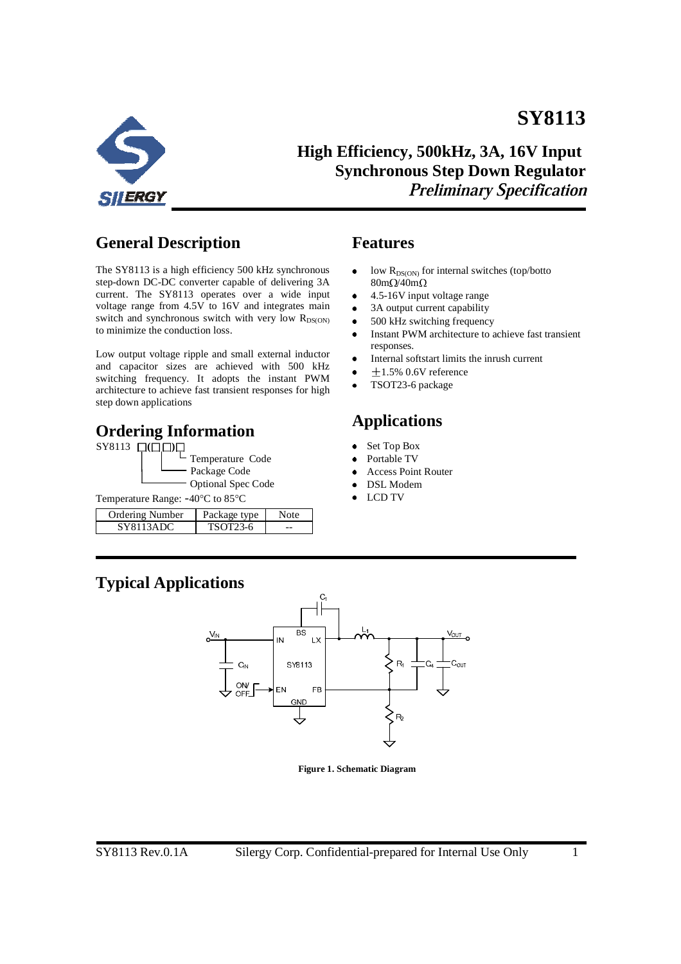

**High Efficiency, 500kHz, 3A, 16V Input Synchronous Step Down Regulator Preliminary Specification** 

**SY8113** 

## **General Description**

The SY8113 is a high efficiency 500 kHz synchronous step-down DC-DC converter capable of delivering 3A current. The SY8113 operates over a wide input voltage range from 4.5V to 16V and integrates main switch and synchronous switch with very low  $R_{DS(ON)}$ to minimize the conduction loss.

Low output voltage ripple and small external inductor and capacitor sizes are achieved with 500 kHz switching frequency. It adopts the instant PWM architecture to achieve fast transient responses for high step down applications

#### **Ordering Information**



| Ordering Number | Package type |  |
|-----------------|--------------|--|
|                 | TSOT23-6     |  |

#### **Features**

- low  $R_{DS(ON)}$  for internal switches (top/botto  $\bullet$  $80 \text{m} \Omega / 40 \text{m} \Omega$
- 4.5-16V input voltage range  $\bullet$
- 3A output current capability
- 500 kHz switching frequency
- Instant PWM architecture to achieve fast transient responses.
- $\bullet$ Internal softstart limits the inrush current
- $\bullet$  $\pm$ 1.5% 0.6V reference
- TSOT23-6 package  $\bullet$

# **Applications**

- Set Top Box
- Portable TV
- Access Point Router
- DSL Modem
- LCD TV

## **Typical Applications**



**Figure 1. Schematic Diagram**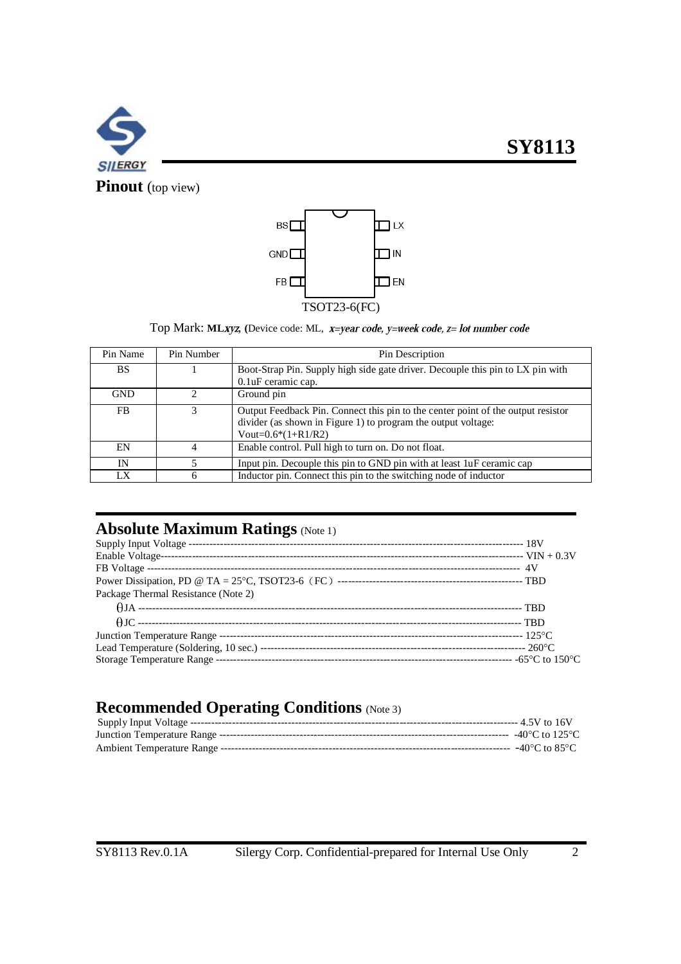



**Pinout** (top view)



Top Mark: MLxyz, (Device code: ML, x=year code, y=week code, z= lot number code

| Pin Name   | Pin Number | Pin Description                                                                  |
|------------|------------|----------------------------------------------------------------------------------|
| <b>BS</b>  |            | Boot-Strap Pin. Supply high side gate driver. Decouple this pin to LX pin with   |
|            |            | 0.1 uF ceramic cap.                                                              |
| <b>GND</b> |            | Ground pin                                                                       |
| FB         |            | Output Feedback Pin. Connect this pin to the center point of the output resistor |
|            |            | divider (as shown in Figure 1) to program the output voltage:                    |
|            |            | Vout= $0.6*(1+R1/R2)$                                                            |
| EN         |            | Enable control. Pull high to turn on. Do not float.                              |
| IN         |            | Input pin. Decouple this pin to GND pin with at least 1uF ceramic cap            |
| LX         |            | Inductor pin. Connect this pin to the switching node of inductor                 |

# **Absolute Maximum Ratings** (Note 1)

| Package Thermal Resistance (Note 2) |  |
|-------------------------------------|--|
|                                     |  |
|                                     |  |
|                                     |  |
|                                     |  |
|                                     |  |

#### **Recommended Operating Conditions** (Note 3)

| -40 $^{\circ}$ C to 125 $^{\circ}$ C |  |
|--------------------------------------|--|
| -40°C to 85°C $\,$                   |  |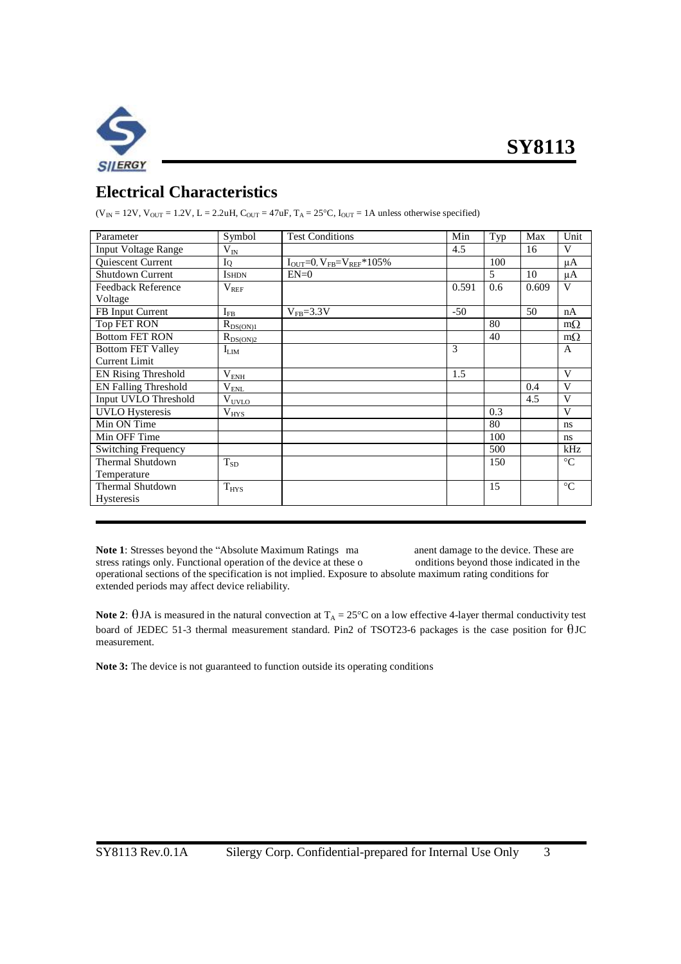

## **Electrical Characteristics**

 $(V_{IN} = 12V, V_{OUT} = 1.2V, L = 2.2uH, C_{OUT} = 47uF, T_A = 25^{\circ}C, I_{OUT} = 1A$  unless otherwise specified)

| Parameter                   | Symbol            | <b>Test Conditions</b>           | Min   | Typ            | Max   | Unit            |
|-----------------------------|-------------------|----------------------------------|-------|----------------|-------|-----------------|
| <b>Input Voltage Range</b>  | $\rm V_{IN}$      |                                  | 4.5   |                | 16    | V               |
| Quiescent Current           | IQ                | $I_{OUT}=0, V_{FB}=V_{REF}*105%$ |       | 100            |       | $\mu A$         |
| <b>Shutdown Current</b>     | <b>ISHDN</b>      | $EN=0$                           |       | $\mathfrak{F}$ | 10    | $\mu A$         |
| Feedback Reference          | $V_{REF}$         |                                  | 0.591 | 0.6            | 0.609 | V               |
| Voltage                     |                   |                                  |       |                |       |                 |
| FB Input Current            | $I_{FB}$          | $V_{FB} = 3.3 V$                 | $-50$ |                | 50    | nA              |
| Top FET RON                 | $R_{DS(ON)1}$     |                                  |       | 80             |       | $m\Omega$       |
| <b>Bottom FET RON</b>       | $R_{DS(ON)2}$     |                                  |       | 40             |       | $m\Omega$       |
| <b>Bottom FET Valley</b>    | $I_{LIM}$         |                                  | 3     |                |       | $\mathsf{A}$    |
| Current Limit               |                   |                                  |       |                |       |                 |
| <b>EN Rising Threshold</b>  | $V_{ENH}$         |                                  | 1.5   |                |       | V               |
| <b>EN Falling Threshold</b> | $\rm V_{\rm ENL}$ |                                  |       |                | 0.4   | $\mathbf{V}$    |
| Input UVLO Threshold        | $V_{UVLO}$        |                                  |       |                | 4.5   | V               |
| <b>UVLO</b> Hysteresis      | $V_{HYS}$         |                                  |       | 0.3            |       | V               |
| Min ON Time                 |                   |                                  |       | 80             |       | ns              |
| Min OFF Time                |                   |                                  |       | 100            |       | ns              |
| <b>Switching Frequency</b>  |                   |                                  |       | 500            |       | kHz             |
| Thermal Shutdown            | $T_{SD}$          |                                  |       | 150            |       | $\rm ^{\circ}C$ |
| Temperature                 |                   |                                  |       |                |       |                 |
| <b>Thermal Shutdown</b>     | $T_{HYS}$         |                                  |       | 15             |       | $\rm ^{\circ}C$ |
| <b>Hysteresis</b>           |                   |                                  |       |                |       |                 |
|                             |                   |                                  |       |                |       |                 |

Note 1: Stresses beyond the "Absolute Maximum Ratings ma anent damage to the device. These are stress ratings only. Functional operation of the device at these o onditions beyond those indicated in the operational sections of the specification is not implied. Exposure to absolute maximum rating conditions for extended periods may affect device reliability.

**Note 2:**  $\theta$  JA is measured in the natural convection at  $T_A = 25^{\circ}C$  on a low effective 4-layer thermal conductivity test board of JEDEC 51-3 thermal measurement standard. Pin2 of TSOT23-6 packages is the case position for  $\theta$ JC measurement.

**Note 3:** The device is not guaranteed to function outside its operating conditions